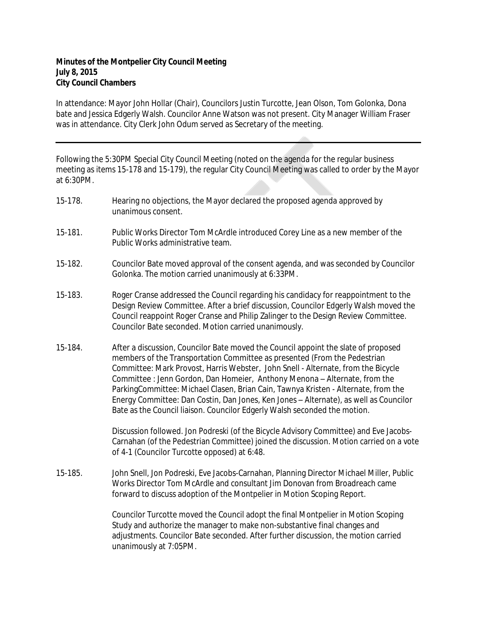## **Minutes of the Montpelier City Council Meeting July 8, 2015 City Council Chambers**

In attendance: Mayor John Hollar (Chair), Councilors Justin Turcotte, Jean Olson, Tom Golonka, Dona bate and Jessica Edgerly Walsh. Councilor Anne Watson was not present. City Manager William Fraser was in attendance. City Clerk John Odum served as Secretary of the meeting.

Following the 5:30PM Special City Council Meeting (noted on the agenda for the regular business meeting as items 15-178 and 15-179), the regular City Council Meeting was called to order by the Mayor at 6:30PM.

| 15-178. | Hearing no objections, the Mayor declared the proposed agenda approved by |
|---------|---------------------------------------------------------------------------|
|         | unanimous consent.                                                        |
|         |                                                                           |

- 15-181. Public Works Director Tom McArdle introduced Corey Line as a new member of the Public Works administrative team.
- 15-182. Councilor Bate moved approval of the consent agenda, and was seconded by Councilor Golonka. The motion carried unanimously at 6:33PM.
- 15-183. Roger Cranse addressed the Council regarding his candidacy for reappointment to the Design Review Committee. After a brief discussion, Councilor Edgerly Walsh moved the Council reappoint Roger Cranse and Philip Zalinger to the Design Review Committee. Councilor Bate seconded. Motion carried unanimously.
- 15-184. After a discussion, Councilor Bate moved the Council appoint the slate of proposed members of the Transportation Committee as presented (From the Pedestrian Committee: Mark Provost, Harris Webster, John Snell - Alternate, from the Bicycle Committee : Jenn Gordon, Dan Homeier, Anthony Menona – Alternate, from the ParkingCommittee: Michael Clasen, Brian Cain, Tawnya Kristen - Alternate, from the Energy Committee: Dan Costin, Dan Jones, Ken Jones – Alternate), as well as Councilor Bate as the Council liaison. Councilor Edgerly Walsh seconded the motion.

Discussion followed. Jon Podreski (of the Bicycle Advisory Committee) and Eve Jacobs-Carnahan (of the Pedestrian Committee) joined the discussion. Motion carried on a vote of 4-1 (Councilor Turcotte opposed) at 6:48.

15-185. John Snell, Jon Podreski, Eve Jacobs-Carnahan, Planning Director Michael Miller, Public Works Director Tom McArdle and consultant Jim Donovan from Broadreach came forward to discuss adoption of the Montpelier in Motion Scoping Report.

> Councilor Turcotte moved the Council adopt the final Montpelier in Motion Scoping Study and authorize the manager to make non-substantive final changes and adjustments. Councilor Bate seconded. After further discussion, the motion carried unanimously at 7:05PM.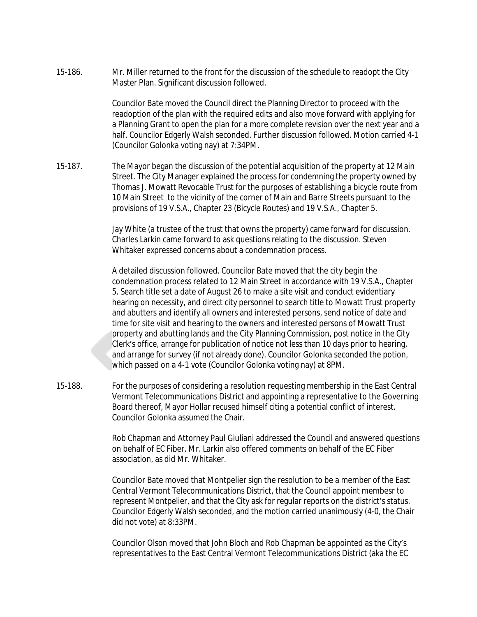15-186. Mr. Miller returned to the front for the discussion of the schedule to readopt the City Master Plan. Significant discussion followed.

> Councilor Bate moved the Council direct the Planning Director to proceed with the readoption of the plan with the required edits and also move forward with applying for a Planning Grant to open the plan for a more complete revision over the next year and a half. Councilor Edgerly Walsh seconded. Further discussion followed. Motion carried 4-1 (Councilor Golonka voting nay) at 7:34PM.

15-187. The Mayor began the discussion of the potential acquisition of the property at 12 Main Street. The City Manager explained the process for condemning the property owned by Thomas J. Mowatt Revocable Trust for the purposes of establishing a bicycle route from 10 Main Street to the vicinity of the corner of Main and Barre Streets pursuant to the provisions of 19 V.S.A., Chapter 23 (Bicycle Routes) and 19 V.S.A., Chapter 5.

> Jay White (a trustee of the trust that owns the property) came forward for discussion. Charles Larkin came forward to ask questions relating to the discussion. Steven Whitaker expressed concerns about a condemnation process.

A detailed discussion followed. Councilor Bate moved that the city begin the condemnation process related to 12 Main Street in accordance with 19 V.S.A., Chapter 5. Search title set a date of August 26 to make a site visit and conduct evidentiary hearing on necessity, and direct city personnel to search title to Mowatt Trust property and abutters and identify all owners and interested persons, send notice of date and time for site visit and hearing to the owners and interested persons of Mowatt Trust property and abutting lands and the City Planning Commission, post notice in the City Clerk's office, arrange for publication of notice not less than 10 days prior to hearing, and arrange for survey (if not already done). Councilor Golonka seconded the potion, which passed on a 4-1 vote (Councilor Golonka voting nay) at 8PM.

15-188. For the purposes of considering a resolution requesting membership in the East Central Vermont Telecommunications District and appointing a representative to the Governing Board thereof, Mayor Hollar recused himself citing a potential conflict of interest. Councilor Golonka assumed the Chair.

> Rob Chapman and Attorney Paul Giuliani addressed the Council and answered questions on behalf of EC Fiber. Mr. Larkin also offered comments on behalf of the EC Fiber association, as did Mr. Whitaker.

Councilor Bate moved that Montpelier sign the resolution to be a member of the East Central Vermont Telecommunications District, that the Council appoint membesr to represent Montpelier, and that the City ask for regular reports on the district's status. Councilor Edgerly Walsh seconded, and the motion carried unanimously (4-0, the Chair did not vote) at 8:33PM.

Councilor Olson moved that John Bloch and Rob Chapman be appointed as the City's representatives to the East Central Vermont Telecommunications District (aka the EC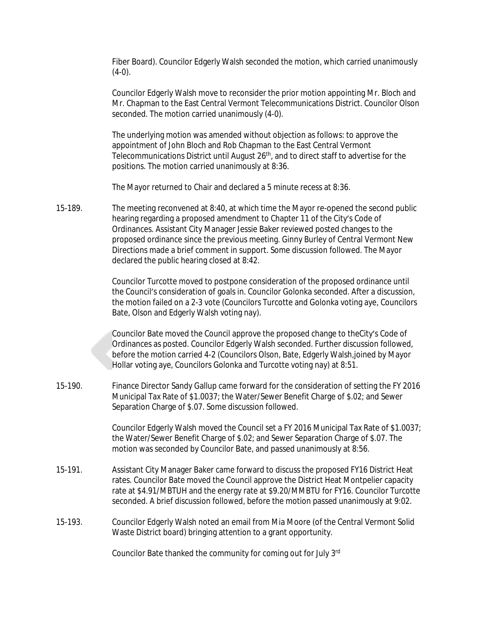Fiber Board). Councilor Edgerly Walsh seconded the motion, which carried unanimously  $(4-0)$ .

Councilor Edgerly Walsh move to reconsider the prior motion appointing Mr. Bloch and Mr. Chapman to the East Central Vermont Telecommunications District. Councilor Olson seconded. The motion carried unanimously (4-0).

The underlying motion was amended without objection as follows: to approve the appointment of John Bloch and Rob Chapman to the East Central Vermont Telecommunications District until August 26<sup>th</sup>, and to direct staff to advertise for the positions. The motion carried unanimously at 8:36.

The Mayor returned to Chair and declared a 5 minute recess at 8:36.

15-189. The meeting reconvened at 8:40, at which time the Mayor re-opened the second public hearing regarding a proposed amendment to Chapter 11 of the City's Code of Ordinances. Assistant City Manager Jessie Baker reviewed posted changes to the proposed ordinance since the previous meeting. Ginny Burley of Central Vermont New Directions made a brief comment in support. Some discussion followed. The Mayor declared the public hearing closed at 8:42.

> Councilor Turcotte moved to postpone consideration of the proposed ordinance until the Council's consideration of goals in. Councilor Golonka seconded. After a discussion, the motion failed on a 2-3 vote (Councilors Turcotte and Golonka voting aye, Councilors Bate, Olson and Edgerly Walsh voting nay).

Councilor Bate moved the Council approve the proposed change to theCity's Code of Ordinances as posted. Councilor Edgerly Walsh seconded. Further discussion followed, before the motion carried 4-2 (Councilors Olson, Bate, Edgerly Walsh,joined by Mayor Hollar voting aye, Councilors Golonka and Turcotte voting nay) at 8:51.

15-190. Finance Director Sandy Gallup came forward for the consideration of setting the FY 2016 Municipal Tax Rate of \$1.0037; the Water/Sewer Benefit Charge of \$.02; and Sewer Separation Charge of \$.07. Some discussion followed.

> Councilor Edgerly Walsh moved the Council set a FY 2016 Municipal Tax Rate of \$1.0037; the Water/Sewer Benefit Charge of \$.02; and Sewer Separation Charge of \$.07. The motion was seconded by Councilor Bate, and passed unanimously at 8:56.

- 15-191. Assistant City Manager Baker came forward to discuss the proposed FY16 District Heat rates. Councilor Bate moved the Council approve the District Heat Montpelier capacity rate at \$4.91/MBTUH and the energy rate at \$9.20/MMBTU for FY16. Councilor Turcotte seconded. A brief discussion followed, before the motion passed unanimously at 9:02.
- 15-193. Councilor Edgerly Walsh noted an email from Mia Moore (of the Central Vermont Solid Waste District board) bringing attention to a grant opportunity.

Councilor Bate thanked the community for coming out for July 3rd